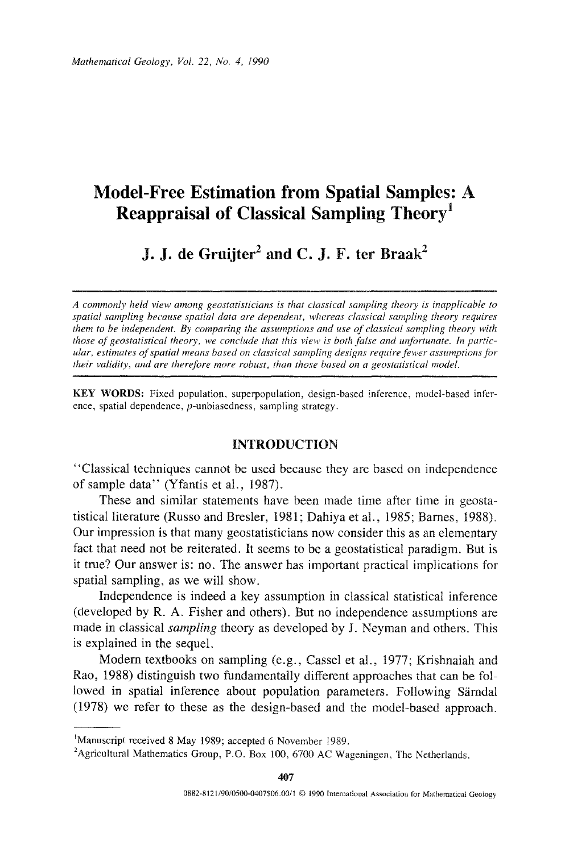## **Model-Free Estimation from Spatial Samples:** A **Reappraisal of Classical Sampling** Theory<sup>1</sup>

# J, **J. de Gruijter<sup>2</sup>**and C. J, F. ter Braak<sup>2</sup>

*A commonly held view among geostatisticians is that classical sampling theory is inapplicable to spatial sampling because spatial data are dependent, whereas classical sampling theorv requires them to be independent. By comparing the assumptions and use of classical sampling theory with those of geostatistical theory, we conclude that this view is both false and unfortunate. In particular, estimates of spatial means based on classical sampling designs require fewer assumptions for their validity, and are therefore more robust, than those based on a geostatistical model.* 

KEY WORDS: Fixed population, superpopulation, design-based inference. model-based inference, spatial dependence, p-unbiasedness, sampling strategy.

### INTRODUCTION

''Classical techniques cannot be used because they are based on independence of sample data" (Yfantis et al., 1987).

These and similar statements have been made time after time in geostatistical literature (Russo and Bresler, 1981; Dahiya et al., 1985; Barnes, 1988). Our impression is that many geostatisticians now consider this as an elementary fact that need not be reiterated. It seems to be a geostatistical paradigm. But is it true? Our answer is: no. The answer has important practical implications for spatial sampling, as we will show.

Independence is indeed a key assumption in classical statistical inference (developed by R. A. Fisher and others). But no independence assumptions are made in classical *sampling* theory as developed by J. Neyman and others. This is explained in the sequel.

Modem textbooks on sampling (e.g., Cassel et al., 1977; Krishnaiah and Rao, 1988) distinguish two fundamentally different approaches that can be followed in spatial inference about population parameters. Following Särndal (1978) we refer to these as the design-based and the model-based approach.

<sup>&#</sup>x27;Manuscript received 8 May 1989; accepted 6 November 1989. 2

<sup>&</sup>lt;sup>2</sup>Agricultural Mathematics Group, P.O. Box 100, 6700 AC Wageningen, The Netherlands.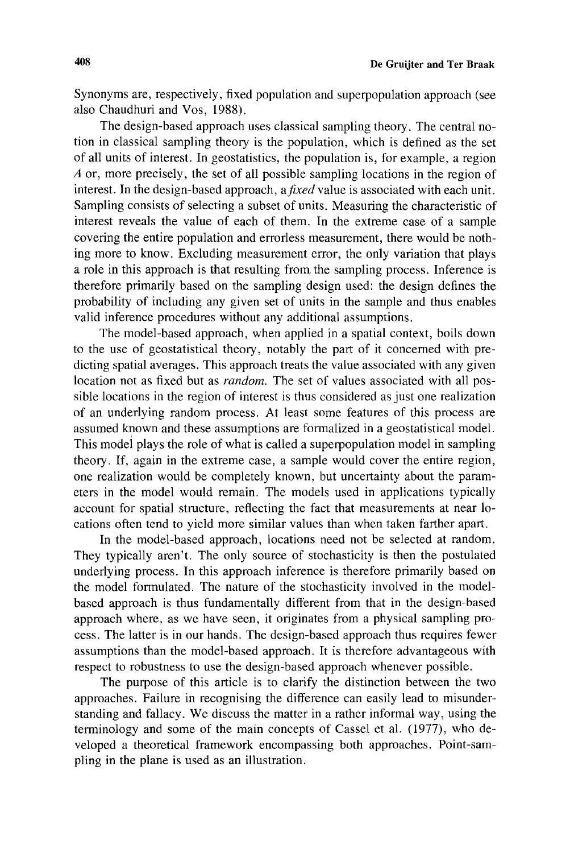Synonyms are, respectively, fixed population and superpopulation approach (see also Chaudhuri and Vos, 1988).

The design-based approach uses classical sampling theory. The central notion in classical sampling theory is the population, which is defined as the set of all units of interest. In geostatistics, the population is, for example, a region  $\overline{A}$  or, more precisely, the set of all possible sampling locations in the region of interest. In the design-based approach, a *fixed* value is associated with each unit. Sampling consists of selecting a subset of units. Measuring the characteristic of interest reveals the value of each of them. In the extreme case of a sample covering the entire population and errorless measurement, there would be nothing more to know. Excluding measurement error, the only variation that plays a role in this approach is that resulting from the sampling process. Inference is therefore primarily based on the sampling design used: the design defines the probability of including any given set of units in the sample and thus enables valid inference procedures without any additional assumptions.

The model-based approach, when applied in a spatial context, boils down to the use of geostatistical theory, notably the part of it concerned with predicting spatial averages. This approach treats the value associated with any given location not as fixed but as *random.* The set of values associated with all possible locations in the region of interest is thus considered as just one realization of an underlying random process. At least some features of this process are assumed known and these assumptions are formalized in a geostatistical model. This modei plays the role of what is called a superpopulation model in sampling theory. If, again in the extreme case, a sample would cover the entire region, one realization would be completely known, but uncertainty about the parameters in the model would remain. The models used in applications typically account for spatial structure, reflecting the fact that measurements at near locations often tend to yield more similar values than when taken farther apart.

In the model-based approach, locations need not be selected at random. They typically aren't. The only source of stochasticity is then the postulated underlying process. In this approach inference is therefore primarily based on the model formulated. The nature of the stochasticity involved in the modelbased approach is thus fundamentally different from that in the design-based approach where, as we have seen, it originates from a physical sampling process. The latter is in our hands. The design-based approach thus requires fewer assumptions than the model-based approach. It is therefore advantageous with respect to robustness to use the design-based approach whenever possible.

The purpose of this article is to clarify the distinction between the two approaches. Failure in recognising the difference can easily lead to misunderstanding and fallacy. We discuss the matter in a rather informal way, using the terminology and some of the main concepts of Cassel et al. (1977), who developed a theoretical framework encompassing both approaches. Point-sampling in the plane is used as an illustration.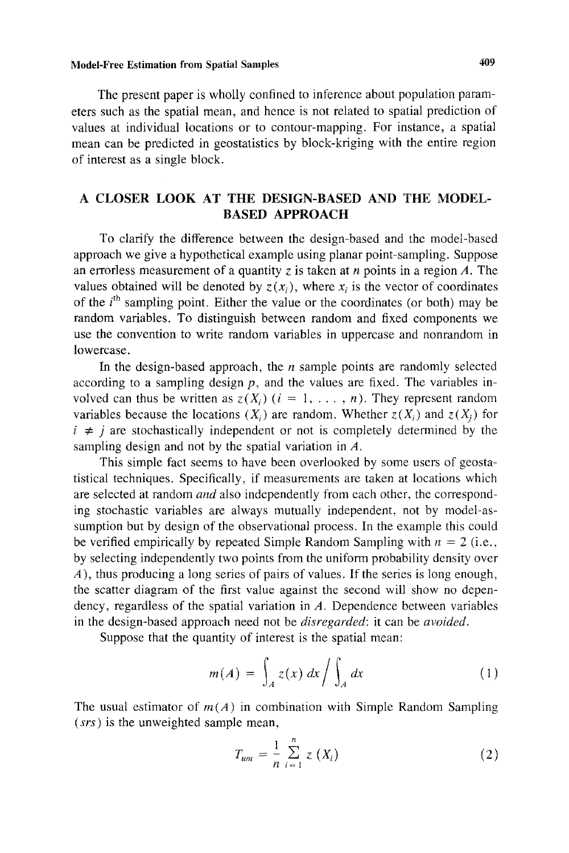### Model-Free Estimation from Spatial Samples 409

The present paper is wholly confined to inference about population parameters such as the spatial mean, and hence is not related to spatial prediction of values at individual locations or to contour-mapping. For instance, a spatial mean can be predicted in geostatistics by block-kriging with the entire region of interest as a single block.

## A CLOSER LOOK AT THE DESIGN-BASED AND THE MODEL-BASED APPROACH

To clarify the difference between the design-based and the model-based approach we give a hypothetical example using planar point-sampling. Suppose an errorless measurement of a quantity *z* is taken at *n* points in a region *A.* The values obtained will be denoted by  $z(x_i)$ , where x<sub>i</sub> is the vector of coordinates of the  $i<sup>th</sup>$  sampling point. Either the value or the coordinates (or both) may be random variables. To distinguish between random and fixed components we use the convention to write random variables in uppercase and nonrandom in lowercase.

In the design-based approach, the *n* sample points are randomly selected according to a sampling design  $p$ , and the values are fixed. The variables involved can thus be written as  $z(X_i)$   $(i = 1, \ldots, n)$ . They represent random variables because the locations  $(X_i)$  are random. Whether  $z(X_i)$  and  $z(X_i)$  for  $i \neq j$  are stochastically independent or not is completely determined by the sampling design and not by the spatial variation in *A.* 

This simple fact seems to have been overlooked by some users of geostatistical techniques. Specifically, if measurements are taken at locations which are selected at random *and* also independently from each other, the corresponding stochastic variables are always mutually independent, not by model-assumption but by design of the observational process. In the example this could be verified empirically by repeated Simple Random Sampling with  $n = 2$  (i.e., by selecting independently two points from the uniform probability density over A), thus producing a long series of pairs of values. If the series is long enough, the scatter diagram of the first value against the second will show no dependency, regardless of the spatial variation in A. Dependence between variables in the design-based approach need not be *disregarded:* it can be *avoided.* 

Suppose that the quantity of interest is the spatial mean:

$$
m(A) = \int_A z(x) dx / \int_A dx
$$
 (1)

The usual estimator of  $m(A)$  in combination with Simple Random Sampling *(srs)* is the unweighted sample mean,

$$
T_{um} = \frac{1}{n} \sum_{i=1}^{n} z(X_i)
$$
 (2)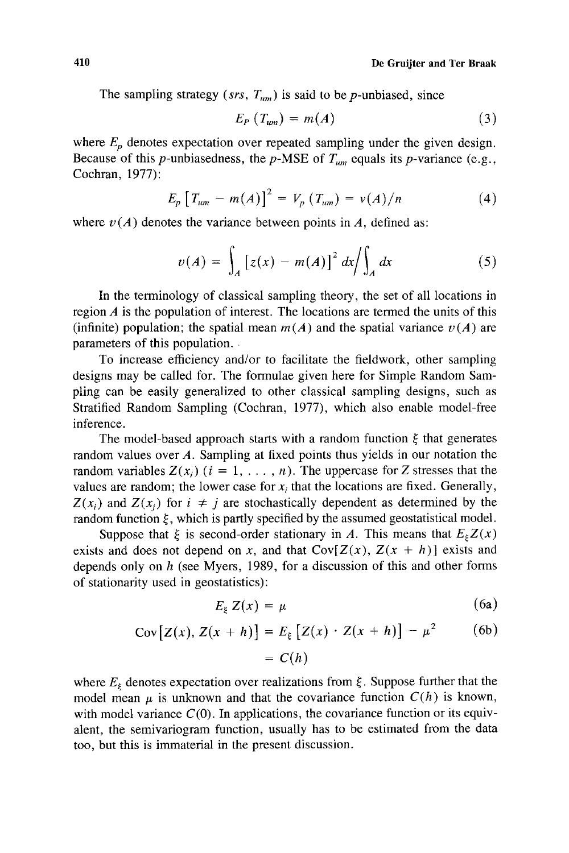The sampling strategy ( $srs$ ,  $T_{um}$ ) is said to be p-unbiased, since

$$
E_P(T_{um}) = m(A) \tag{3}
$$

where  $E_p$  denotes expectation over repeated sampling under the given design. Because of this *p*-unbiasedness, the *p*-MSE of  $T_{um}$  equals its *p*-variance (e.g., Cochran, 1977):

$$
E_p [T_{um} - m(A)]^2 = V_p (T_{um}) = v(A)/n
$$
 (4)

where  $v(A)$  denotes the variance between points in A, defined as:

$$
v(A) = \int_A [z(x) - m(A)]^2 dx / \int_A dx
$$
 (5)

In the terminology of classical sampling theory, the set of all locations in region *A* is the population of interest. The locations are termed the units of this (infinite) population; the spatial mean  $m(A)$  and the spatial variance  $v(A)$  are parameters of this population.

To increase efficiency and/or to facilitate the fieldwork, other sampling designs may be called for. The formulae given here for Simple Random Sampling can be easily generalized to other classical sampling designs, such as Stratified Random Sampling (Cochran, 1977), which also enable model-free inference.

The model-based approach starts with a random function  $\xi$  that generates random values over A. Sampling at fixed points thus yields in our notation the random variables  $Z(x_i)$  ( $i = 1, \ldots, n$ ). The uppercase for *Z* stresses that the values are random; the lower case for  $x_i$  that the locations are fixed. Generally,  $Z(x_i)$  and  $Z(x_i)$  for  $i \neq j$  are stochastically dependent as determined by the random function  $\xi$ , which is partly specified by the assumed geostatistical model.

Suppose that  $\xi$  is second-order stationary in *A*. This means that  $E_{\xi}Z(x)$ exists and does not depend on x, and that  $Cov[Z(x), Z(x + h)]$  exists and depends only on *h* (see Myers, 1989, for a discussion of this and other forms of stationarity used in geostatistics):

$$
E_{\xi} Z(x) = \mu \tag{6a}
$$

Cov 
$$
[Z(x), Z(x+h)] = E_{\xi} [Z(x) \cdot Z(x+h)] - \mu^2
$$
 (6b)

$$
= C(h)
$$

where  $E<sub>\xi</sub>$  denotes expectation over realizations from  $\xi$ . Suppose further that the model mean  $\mu$  is unknown and that the covariance function  $C(h)$  is known, with model variance  $C(0)$ . In applications, the covariance function or its equivalent, the semivariogram function, usually has to be estimated from the data too, but this is immaterial in the present discussion.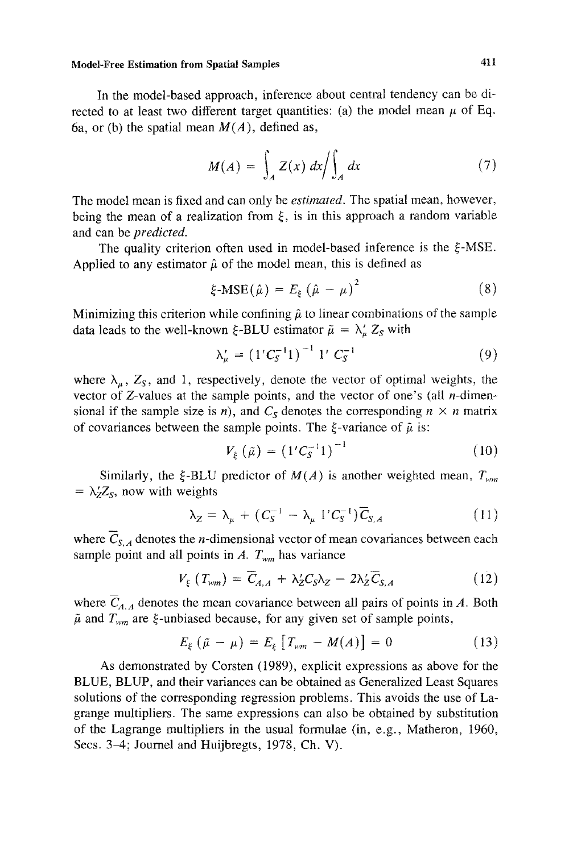#### Model-Free Estimation from Spatial Samples 411

In the model-based approach, inference about central tendency can be directed to at least two different target quantities: (a) the model mean  $\mu$  of Eq. 6a, or (b) the spatial mean  $M(A)$ , defined as,

$$
M(A) = \int_{A} Z(x) dx / \int_{A} dx
$$
 (7)

The model mean is fixed and can only be *estimated.* The spatial mean, however, being the mean of a realization from  $\xi$ , is in this approach a random variable and can be *predicted.* 

The quality criterion often used in model-based inference is the  $\xi$ -MSE. Applied to any estimator  $\hat{\mu}$  of the model mean, this is defined as

$$
\xi\text{-MSE}(\hat{\mu}) = E_{\xi} (\hat{\mu} - \mu)^2 \tag{8}
$$

Minimizing this criterion while confining  $\hat{\mu}$  to linear combinations of the sample data leads to the well-known  $\xi$ -BLU estimator  $\tilde{\mu} = \lambda'_\mu Z_s$  with

$$
\lambda'_{\mu} = \left(1' C_S^{-1} 1\right)^{-1} 1' C_S^{-1} \tag{9}
$$

where  $\lambda_{\mu}$ ,  $Z_{\rm S}$ , and 1, respectively, denote the vector of optimal weights, the vector of  $Z$ -values at the sample points, and the vector of one's (all *n*-dimensional if the sample size is *n*), and  $C_s$  denotes the corresponding  $n \times n$  matrix of covariances between the sample points. The  $\xi$ -variance of  $\tilde{\mu}$  is:

$$
V_{\xi}(\tilde{\mu}) = (1'C_S^{-1})^{-1}
$$
 (10)

Similarly, the  $\xi$ -BLU predictor of  $M(A)$  is another weighted mean,  $T_{wm}$  $= \lambda'_Z Z_s$ , now with weights

$$
\lambda_Z = \lambda_\mu + (C_S^{-1} - \lambda_\mu \, 1' C_S^{-1}) \, \overline{C}_{S,A} \tag{11}
$$

where  $\overline{C}_{S,A}$  denotes the *n*-dimensional vector of mean covariances between each sample point and all points in  $A$ .  $T_{wm}$  has variance

$$
V_{\xi} (T_{wm}) = \overline{C}_{A,A} + \lambda_{Z}^{\prime} C_{S} \lambda_{Z} - 2\lambda_{Z}^{\prime} \overline{C}_{S,A}
$$
 (12)

where  $\overline{C}_{A,A}$  denotes the mean covariance between all pairs of points in *A*. Both  $\tilde{\mu}$  and  $T_{wm}$  are  $\xi$ -unbiased because, for any given set of sample points,

$$
E_{\xi} (\tilde{\mu} - \mu) = E_{\xi} [T_{wm} - M(A)] = 0
$$
 (13)

As demonstrated by Corsten (1989), explicit expressions as above for the BLUE, BLUP, and their variances can be obtained as Generalized Least Squares solutions of the corresponding regression problems. This avoids the use of Lagrange multipliers. The same expressions can also be obtained by substitution of the Lagrange multipliers in the usual formulae (in, e.g., Matheron, 1960, Secs. 3-4; Journel and Huijbregts, 1978, Ch. V).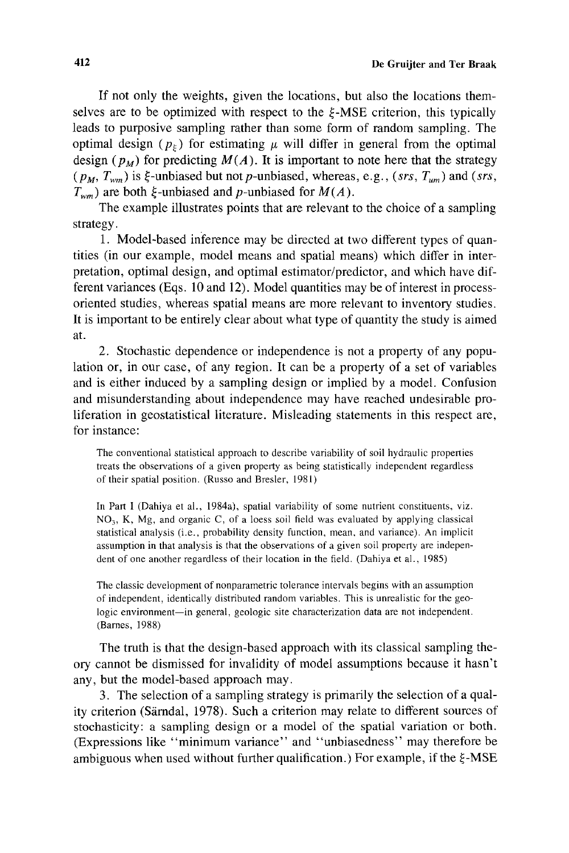If not only the weights, given the locations, but also the locations themselves are to be optimized with respect to the  $\epsilon$ -MSE criterion, this typically leads to purposive sampling rather than some form of random sampling. The optimal design  $(p<sub>\xi</sub>)$  for estimating  $\mu$  will differ in general from the optimal design  $(p_M)$  for predicting  $M(A)$ . It is important to note here that the strategy  $(p_M, T_{wm})$  is  $\xi$ -unbiased but not p-unbiased, whereas, e.g., *(srs, T<sub>um</sub>)* and *(srs,*  $T_{wm}$ ) are both  $\xi$ -unbiased and *p*-unbiased for  $M(A)$ .

The example illustrates points that are relevant to the choice of a sampling strategy.

1. Model-based inference may be directed at two different types of quantities (in our example, model means and spatial means) which differ in interpretation, optimal design, and optimal estimator/predictor, and which have different variances (Eqs. 10 and 12). Model quantities may be of interest in processoriented studies, whereas spatial means are more relevant to inventory studies. It is important to be entirely clear about what type of quantity the study is aimed at.

2. Stochastic dependence or independence is not a property of any population or, in our case, of any region. It can be a property of a set of variables and is either induced by a sampling design or implied by a model. Confusion and misunderstanding about independence may have reached undesirable proliferation in geostatistical literature. Misleading statements in this respect are, for instance:

The conventional statistical approach to describe variability of soil hydraulic properties treats the observations of a given property as being statistically independent regardless of their spatial position. (Russo and Bresler, 1981)

In Part I (Dahiya et al., 1984a), spatial variability of some nutrient constituents, viz.  $NO<sub>3</sub>$ , K, Mg, and organic C, of a loess soil field was evaluated by applying classical statistical analysis (i.e., probability density function, mean, and variance). An implicit assumption in that analysis is that the observations of a given soil property are independent of one another regardless of their location in the field. (Dahiya et al., 1985)

The classic development of nonparametric tolerance intervals begins with an assumption of independent, identically distributed random variables. This is unrealistic for the geologic environment-in general, geologic site characterization data are not independent. (Barnes, 1988)

The truth is that the design-based approach with its classical sampling theory cannot be dismissed for invalidity of model assumptions because it hasn't any, but the model-based approach may.

3. The selection of a sampling strategy is primarily the selection of a quality criterion (Särndal, 1978). Such a criterion may relate to different sources of stochasticity: a sampling design or a model of the spatial variation or both. (Expressions like "minimum variance" and "unbiasedness" may therefore be ambiguous when used without further qualification.) For example, if the  $\xi$ -MSE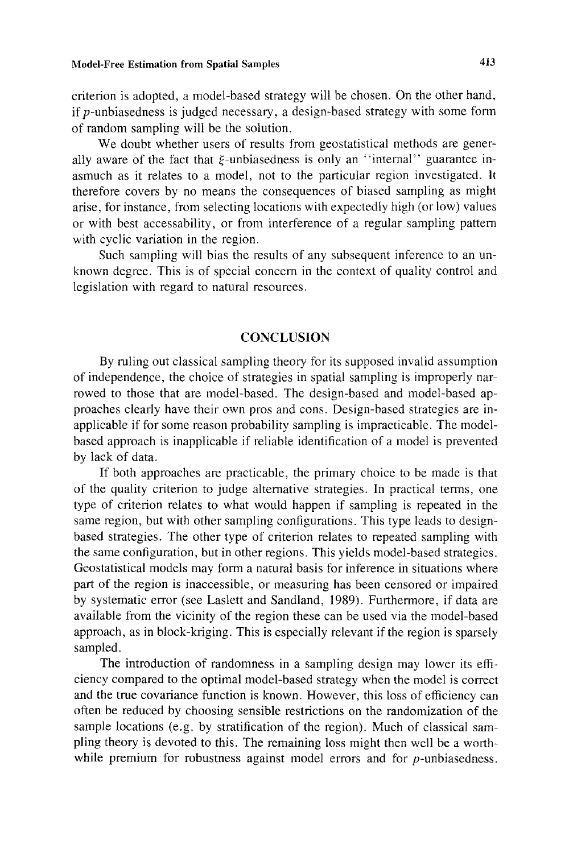criterion is adopted, a model-based strategy will be chosen. On the other hand, if p-unbiasedness is judged necessary, a design-based strategy with some form of random sampling will be the solution.

We doubt whether users of results from geostatistical methods are generally aware of the fact that  $\xi$ -unbiasedness is only an "internal" guarantee inasmuch as it relates to a model, not to the particular region investigated. It therefore covers by no means the consequences of biased sampling as might arise, for instance, from selecting locations with expectedly high (or low) values or with best accessability, or from interference of a regular sampling pattern with cyclic variation in the region.

Such sampling will bias the results of any subsequent inference to an unknown degree. This is of special concern in the context of quality control and legislation with regard to natural resources.

### **CONCLUSION**

By ruling out classical sampling theory for its supposed invalid assumption of independence, the choice of strategies in spatial sampling is improperly narrowed to those that are model-based. The design-based and model-based approaches clearly have their own pros and cons. Design-based strategies are inapplicable if for some reason probability sampling is impracticable. The modelbased approach is inapplicable if reliable identification of a model is prevented by lack of data.

If both approaches are practicable, the primary choice to be made is that of the quality criterion to judge alternative strategies. In practical terms, one type of criterion relates to what would happen if sampling is repeated in the same region, but with other sampling configurations. This type leads to designbased strategies. The other type of criterion relates to repeated sampling with the same configuration, but in other regions. This yields model-based strategies. Geostatistical models may form a natural basis for inference in situations where part of the region is inaccessible, or measuring has been censored or impaired by systematic error (see Laslett and Sandland, 1989). Furthermore, if data are available from the vicinity of the region these can be used via the model-based approach, as in block-kriging. This is especially relevant if the region is sparsely sampled.

The introduction of randomness in a sampling design may lower its efficiency compared to the optimal model-based strategy when the model is correct and the true covariance function is known. However, this loss of efficiency can often be reduced by choosing sensible restrictions on the randomization of the sample locations (e.g. by stratification of the region). Much of classical sampling theory is devoted to this. The remaining loss might then well be a worthwhile premium for robustness against model errors and for  $p$ -unbiasedness.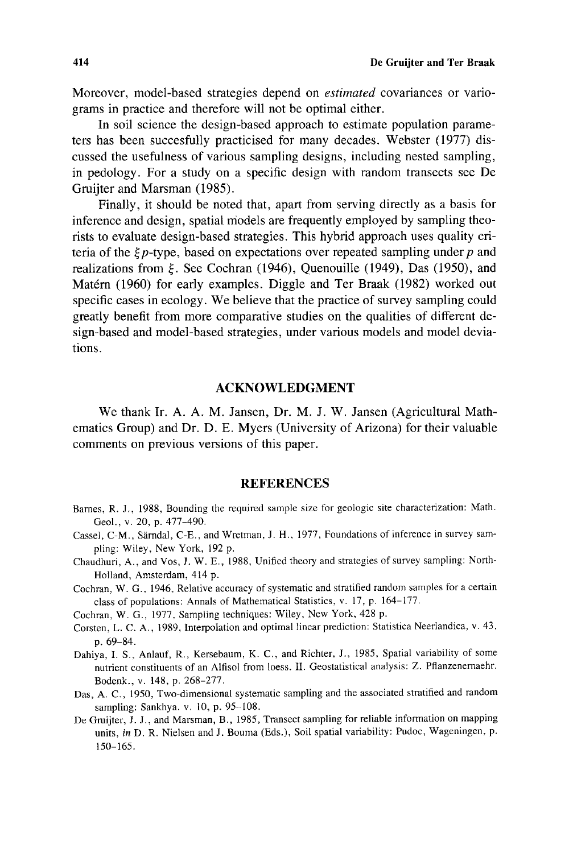Moreover, model-based strategies depend on *estimated* covariances or variagrams in practice and therefore will not be optimal either.

In soil science the design-based approach to estimate population parameters has been succesfully practicised for many decades. Webster (1977) discussed the usefulness of various sampling designs, including nested sampling, in pedology. For a study on a specific design with random transects see De Gruijter and Marsman (1985).

Finally, it should be noted that, apart from serving directly as a basis for inference and design, spatial models are frequently employed by sampling theorists to evaluate design-based strategies. This hybrid approach uses quality criteria of the  $\zeta p$ -type, based on expectations over repeated sampling under p and realizations from  $\xi$ . See Cochran (1946), Quenouille (1949), Das (1950), and Matérn (1960) for early examples. Diggle and Ter Braak (1982) worked out specific cases in ecology. We believe that the practice of survey sampling could greatly benefit from more comparative studies on the qualities of different design-based and model-based strategies, under various models and model deviations.

#### ACKNOWLEDGMENT

We thank Ir. A. A. M. Jansen, Dr. M. J. W. Jansen (Agricultural Mathematics Group) and Dr. D. E. Myers (University of Arizona) for their valuable comments on previous versions of this paper.

#### **REFERENCES**

- Barnes, R. J., 1988, Bounding the required sample size for geologic site characterization: Math. Geol., v. 20, p. 477-490.
- Cassel, C-M., Särndal, C-E., and Wretman, J. H., 1977, Foundations of inference in survey sampling: Wiley, New York, 192 p.
- Chaudhuri, A., and Vos, J. W. E., 1988, Unified theory and strategies of survey sampling: North-Holland, Amsterdam, 414 p.
- Cochran, W. G., 1946, Relative accuracy of systematic and stratified random samples for a certain class of populations: Annals of Mathematical Statistics, v. 17, p. 164-177.
- Cochran, W. G., 1977, Sampling techniques: Wiley, New York, 428 p.
- Corsten, L. C. A., 1989, Interpolation and optimal linear prediction: Statistica Neerlandica, v. 43, p. 69-84.
- Dahiya, I. S., Anlauf, R., Kersebaum, K. C., and Richter, J., 1985, Spatial variability of some nutrient constituents of an Alfisol from loess. II. Geostatistical analysis: Z. Pflanzenemaehr. Bodenk., v. 148, p. 268-277.
- Das, A. C., 1950, Two-dimensional systematic sampling and the associated stratified and random sampling: Sankhya. v. 10, p. 95-108.
- De Gruijter, J. J., and Marsman, B., 1985, Transect sampling for reliable information on mapping units, *in* D. R. Nielsen and J. Bouma (Eds.), Soil spatial variability: Pudoc, Wageningen, p. 150-165.